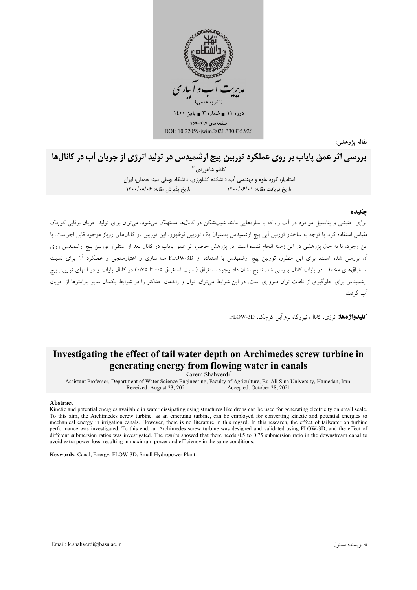

مقاله يژوهشي:

# <sup>قاله</sup> ب<sup>ورهشی:</sup><br>بررسی اثر عمق پایاب بر روی عملکرد توربین پیچ ارشمیدس در تولید انرژی از جریان آب در کانالها

كاظم شاهوردي<sup>\\*</sup> ستادیار، گروه علوم و مهندسی آب، دانشکده کشاورزی، دانشگاه بوعلی سینا، همدان، ایران.  $14.4$  تاریخ بذیرش مقاله: ۶۶/۰۸/۰۶ ناریخ دریافت مقاله: ۱۴۰۰/۰۶/۰۱

### چکیده

نرژی جنبشی و پتانسیل موجود در آب را، که با سازههایی مانند شیبشکن در کانالها مستهلک میشود، میتوان برای تولید جریان برقابی کوچک مقیاس استفاده کرد. با توجه به ساختار توربین ابی پیچ ارشمیدس بهعنوان یک توربین نوظهور، این توربین در کانال۵ای روباز موجود قابل اجراست. با ین وجود، تا به حال پژوهشی در این زمینه انجام نشده است. در پژوهش حاضر، اثر عمق پایاب در کانال بعد از استقرار توربین پیچ ارشمیدس روی أن بررسی شده است. برای این منظور، توربین پیچ ارشمیدس با استفاده از FLOW-3D مدلسازی و اعتبارسنجی و عملکرد أن برای نسبت ستغراقهای مختلف در پایاب کانال بررسی شد. نتایج نشان داد وجود استغراق (نسبت استغراق ۰/۵ تا ۰/۷۵) در کانال پایاب و در انتهای توربین پیچ رشمیدس برای جلوگیری از تلفات توان ضروری است. در این شرایط میتوان، توان و راندمان حداکثر را در شرایط یکسان سایر پارامترها از جریان آب گے فت.

**کلیدواژهها:** انرژی، کانال، نیروگاه برقآبی کوچک، FLOW-3D.

## **Investigating the effect of tail water depth on Archimedes screw turbine in generating energy from flowing water in canals**

Kazem Shahverdi\*

Assistant Professor, Department of Water Science Engineering, Faculty of Agriculture, Bu-Ali Sina University, Hamedan, Iran. Accepted: October 28, 2021

#### **Abstract**

Kinetic and potential energies available in water dissipating using structures like drops can be used for generating electricity on small scale. To this aim, the Archimedes screw turbine, as an emerging turbine, can be employed for converting kinetic and potential energies to mechanical energy in irrigation canals. However, there is no literature in this regard. In this research, the effect of tailwater on turbine performance was investigated. To this end, an Archimedes screw turbine was designed and validated using FLOW-3D, and the effect of different submersion ratios was investigated. The results showed that there needs 0.5 to 0.75 submersion ratio in the downstream canal to avoid extra power loss, resulting in maximum power and efficiency in the same conditions.

**Keywords:** Canal, Energy, FLOW-3D, Small Hydropower Plant.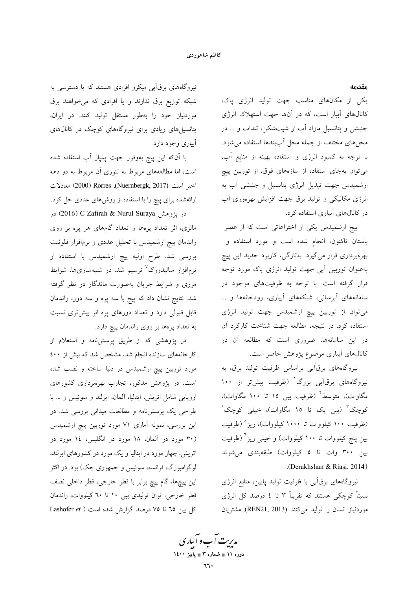#### مقدمه

یکی از مکانهای مناسب جهت تولید انرژی پاک، کانالهای آبیار است، که در آنها جهت استهلاک انرژی جنبشی و پتانسیل مازاد آب از شیبشکن، تنداب و ... در محلهای مختلف از جمله محل آببندها استفاده میشود. با توجه به كمبود انرژى و استفاده بهينه از منابع آب، می توان بهجای استفاده از سازههای فوق، از توربین پیچ ارشمیدس جهت تبدیل انرژی پتانسیل و جنبشی آب به انرژی مکانیکی و تولید برق جهت افزایش بهرهوری آب در کانالهای آبیاری استفاده کرد.

پیچ ارشمیدس یکی از اختراعاتی است که از عصر باستان تاکنون، انجام شده است و مورد استفاده و بهرهبرداری قرار میگیرد. بهتازگی، کاربرد جدید این پیچ بهعنوان توربین آبی جهت تولید انرژی پاک مورد توجه قرار گرفته است. با توجه به ظرفیتهای موجود در سامانههای آبرسانی، شبکههای آبیاری، رودخانهها و ... میتوان از توربین پیچ ارشمیدس جهت تولید انرژی استفاده کرد. در نتیجه، مطالعه جهت شناخت کارکرد آن در این سامانهها، ضروری است که مطالعه آن در کانالهای آبیاری موضوع پژوهش حاضر است.

نیروگاههای برقآبی براساس ظرفیت تولید برق، به نیروگاههای برقآبی بزرگ<sup>۱</sup> (ظرفیت بیشتر از ۱۰۰ مگاوات)، متوسط<sup>۲</sup> (ظرفیت بین ۱۵ تا ۱۰۰ مگاوات)، کوچک<sup>۳</sup> (بین یک تا ۱**۰** مگاوات)، خیل<sub>ی</sub> کوچک<sup>؛</sup> (ظرفیت ۱۰۰ کیلووات تا ۱۰۰۰ کیلووات)، ریز (ظرفیت بین پنج کیلووات تا ۱۰۰ کیلووات) و خیلی ریز<sup>7</sup> (ظرفیت بین ۳۰۰ وات تا ۵ کیلووات) طبقهبندی میشوند .(Derakhshan & Riasi, 2014)

نیروگاههای برقآبی با ظرفیت تولید پایین، منابع انرژی نسبتاً کوچکی هستند که تقریباً ۳ تا ٤ درصد کل انرژی موردنیاز انسان را تولید میکنند (REN21, 2013). مشتریان

نیروگاههای برقآبی میکرو افرادی هستند که یا دسترسی به شبکه توزیع برق ندارند و یا افرادی که میخواهند برق موردنیاز خود را بهطور مستقل تولید کنند. در ایران، پتانسیل های زیادی برای نیروگاههای کوچک در کانال های أبياري وجود دارد.

با اَنکه این پیچ بهوفور جهت پمپاژ اَب استفاده شده است، اما مطالعههای مربوط به تئوری آن مربوط به دو دهه اخير است (Nuernbergk, 2017). 2000) Rorres) معادلات ارائهشده برای پیچ را با استفاده از روشهای عددی حل کرد. در پژوهش Vafirah & Nurul Suraya در پژوهش (2016) در

مالزی، اثر تعداد پرهها و تعداد گامهای هر پره بر روی راندمان پیچ ارشمیدس با تحلیل عددی و نرمافزار فلوئنت بررسی شد. طرح اولیه پیچ ارشمیدس با استفاده از نرمافزار سالیدورک<sup>۷</sup> ترسیم شد. در شبیهسازیها، شرایط مرزی و شرایط جریان بهصورت ماندگار در نظر گرفته شد. نتایج نشان داد که پیچ با سه پره و سه دور، راندمان قابل قبولی دارد و تعداد دورهای پره اثر بیشتری نسبت به تعداد پرهها بر روی راندمان پیچ دارد.

در پژوهشی که از طریق پرسشiامه و استعلام از کارخانههای سازنده انجام شد، مشخص شد که بیش از ٤٠٠ مورد توربین پیچ ارشمیدس در دنیا ساخته و نصب شده است. در پژوهش مذکور، تجارب بهرهبرداری کشورهای اروپایی شامل اتریش، ایتالیا، آلمان، ایرلند و سوئیس و ... با طراحی یک پرسشنامه و مطالعات میدانی بررسی شد. در این بررسی، نمونه آماری ۷۱ مورد توربین پیچ ارشمیدس (۳۰ مورد در آلمان، ۱۸ مورد در انگلیس، ۱۶ مورد در اتریش، چهار مورد در ایتالیا و یک مورد در کشورهای ایرلند، لوگزامبورگ، فرانسه، سوئیس و جمهوری چک) بود. در اکثر این پیچها، گام پیچ برابر با قطر خارجی، قطر داخلی نصف قطر خارجی، توان تولیدی بین ۱۰ تا ۳۰ کیلووات، راندمان کل بین ۲۵ تا ۷۵ درصد گزارش شده است ( Lashofer et

مدیریت آب و آباری دوره ۱۱ ∎ شماره ۳ ∎ پاییز ۱٤۰۰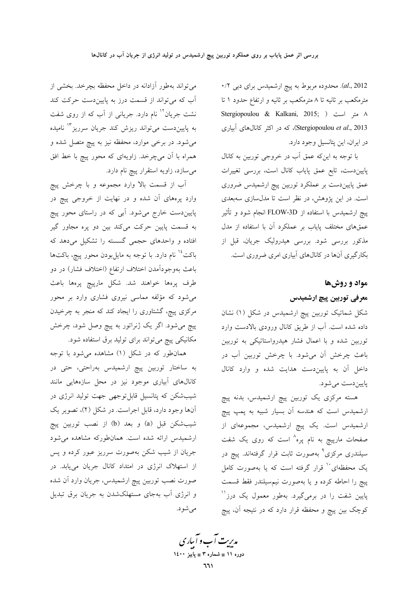al., 2012). محدوده مربوط به پیچ ارشمیدس برای دب<sub>ی</sub> ۰/۲ مترمکعب بر ثانیه تا ۸ مترمکعب بر ثانیه و ارتفاع حدود ۱ تا Stergiopoulou & Kalkani, 2015; ) متر است ( Stergiopoulou et al., 2013)، که در اکثر کانالهای آبیاری در ايران، اين يتانسيل وجود دارد.

با توجه به اینکه عمق آب در خروجی توربین به کانال پاییندست، تابع عمق پایاب کانال است، بررسی تغییرات عمق پاییندست بر عملکرد توربین پیچ ارشمیدس ضروری است. در این پژوهش، در نظر است تا مدل سازی سهبعدی پیچ ارشمیدس با استفاده از FLOW-3D انجام شود و تأثیر عمقهای مختلف پایاب بر عملکرد آن با استفاده از مدل مذکور بررسی شود. بررسی هیدرولیک جریان، قبل از بکارگیری آنها در کانالهای آبیاری امری ضروری است.

## مواد و روشها

## معرفی توربین پیچ ارشمیدس

شکل شماتیک توربین پیچ ارشمیدس در شکل (۱) نشان داده شده است. آب از طریق کانال ورودی بالادست وارد توربین شده و با اعمال فشار هیدرواستاتیکی به توربین باعث چرخش آن میشود. با چرخش توربین آب در داخل آن به پایین دست هدایت شده و وارد کانال پاييندست مي شود.

هسته مرکزی یک توربین پیچ ارشمیدس، بدنه پیچ ارشمیدس است که هندسه آن بسیار شبیه به پمپ پیچ ارشمیدس است. یک پیچ ارشمیدس، مجموعهای از صفحات مارپیچ به نام پره^ است که روی یک شفت سیلندری مرکزی<sup>۹</sup> بهصورت ثابت قرار گرفتهاند. پیچ در یک محفظهای با قرار گرفته است که یا بهصورت کامل پیچ را احاطه کرده و یا بهصورت نیم سیلندر فقط قسمت پایین شفت را در برمیگیرد. بهطور معمول یک درز<sup>۱۱</sup> کوچک بین پیچ و محفظه قرار دارد که در نتیجه آن، پیچ

می تواند بهطور آزادانه در داخل محفظه بچرخد. بخشی از آب که می تواند از قسمت درز به پایین دست حرکت کند نشت جریان<sup>۱۲</sup> نام دارد. جریانی از آب که از روی شفت به پاییندست میتواند ریزش کند جریان سرریز<sup>۱۳</sup> نامیده می شود. در برخی موارد، محفظه نیز به پیچ متصل شده و همراه با آن میچرخد. زاویهای که محور پیچ با خط افق می سازد، زاویه استقرار پیچ نام دارد.

آب از قسمت بالا وارد مجموعه و با چرخش پیچ وارد پرههای آن شده و در نهایت از خروجی پیچ در پاییندست خارج میشود. آبی که در راستای محور پیچ به قسمت پایین حرکت میکند بین دو پره مجاور گیر افتاده و واحدهای حجمی گسسته را تشکیل می دهد که باکت<sup>۱۶</sup> نام دارد. با توجه به مایلبودن محور پیچ، باکتها باعث بهوجوداًمدن اختلاف ارتفاع (اختلاف فشار) در دو طرف پرهها خواهند شد. شکل مارپیچ پرهها باعث میشود که مؤلفه مماسی نیروی فشاری وارد بر محور مرکزی پیچ، گشتاوری را ایجاد کند که منجر به چرخیدن پیچ میشود. اگر یک ژنراتور به پیچ وصل شود، چرخش مکانیکی پیچ میتواند برای تولید برق استفاده شود.

همان طور که در شکل (۱) مشاهده می شود با توجه به ساختار توربین پیچ ارشمیدس بهراحتی، حتی در کانالهای آبیاری موجود نیز در محل سازههایی مانند شیبشکن که پتانسیل قابلتوجهی جهت تولید انرژی در آنها وجود دارد، قابل اجراست. در شکل (۲)، تصویر یک شيبشكن قبل (a) و بعد (b) از نصب توربين پيچ ارشمیدس ارائه شده است. همانطورکه مشاهده میشود جریان از شیب شکن بهصورت سرریز عبور کرده و پس از استهلاک انرژی در امتداد کانال جریان مییابد. در صورت نصب توربین پیچ ارشمیدس، جریان وارد آن شده و انرژی آب بهجای مستهلکشدن به جریان برق تبدیل مې شو د.

مدیت آب و آباری دوره ۱۱ ∎ شماره ۳ ∎ یاییز ۱٤۰۰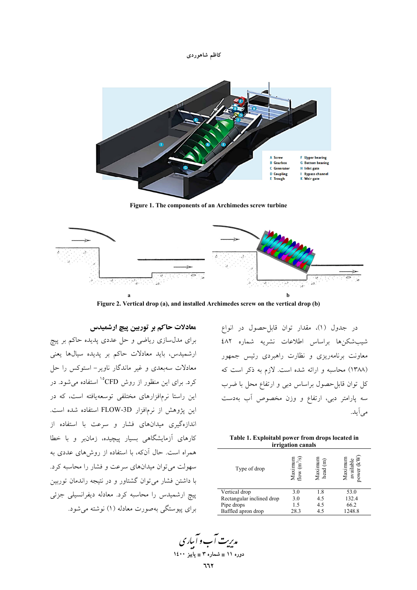



Figure 1. The components of an Archimedes screw turbine



Figure 2. Vertical drop (a), and installed Archimedes screw on the vertical drop (b)

معادلات حاکم بر توربین پیچ ارشمیدس

برای مدل سازی ریاضی و حل عددی پدیده حاکم بر پیچ ارشمیدس، باید معادلات حاکم بر پدیده سیالها یعنی معادلات سەبعدی و غیر ماندگار ناویر– استوکس را حل کرد. برای این منظور از روش CFD°<sup>۱</sup> استفاده میشود. در این راستا نرمافزارهای مختلفی توسعهیافته است، که در این پژوهش از نرمافزار FLOW-3D استفاده شده است. اندازهگیری میدانهای فشار و سرعت با استفاده از کارهای آزمایشگاهی بسیار پیچیده، زمانبر و با خطا همراه است. حال آنکه، با استفاده از روشهای عددی به سهولت می توان میدانهای سرعت و فشار را محاسبه کرد. با داشتن فشار می توان گشتاور و در نتیجه راندمان توربین ییچ ارشمیدس را محاسبه کرد. معادله دیفرانسیلی جزئی برای پیوستگی بهصورت معادله (۱) نوشته می شود.

در جدول (١)، مقدار توان قابل حصول در انواع شيب شكنها براساس اطلاعات نشريه شماره ٤٨٢ معاونت برنامهریزی و نظارت راهبردی رئیس جمهور (١٣٨٨) محاسبه و ارائه شده است. لازم به ذكر است كه کل توان قابل-حصول براساس دبی و ارتفاع محل با ضرب سه پارامتر دبی، ارتفاع و وزن مخصوص آب بهدست مے آبد.

| Table 1. Exploitabl power from drops located in |
|-------------------------------------------------|
| <i>irrigation canals</i>                        |
|                                                 |

| Type of drop              | ত্<br><i>A</i> aximu<br>$\mathbf{\tilde{E}}$<br>flow | Maximur<br>head (m) | availabl<br>Maxim<br>ower |
|---------------------------|------------------------------------------------------|---------------------|---------------------------|
| Vertical drop             | 3.0                                                  | 1.8                 | 53.0                      |
| Rectangular inclined drop | 3.0                                                  | 4.5                 | 132.4                     |
| Pipe drops                | 1.5                                                  | 4.5                 | 66.2                      |
| Baffled apron drop        | 28.3                                                 | 4.5                 | 1248.8                    |

مدیریت آب و آبیاری دوره ۱۱ ∎ شماره ۳ ∎ یاییز ۱٤۰۰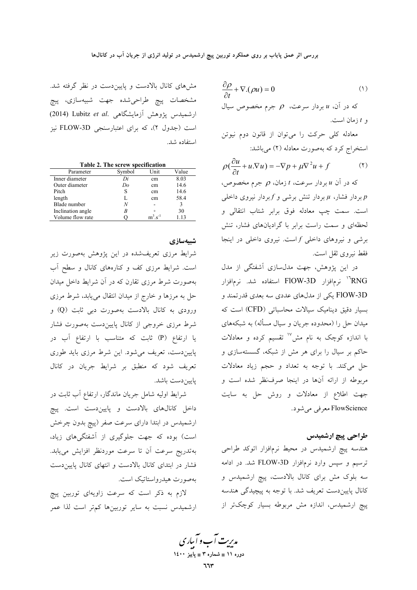$\frac{\partial \rho}{\partial t} + \nabla \cdot (\rho u) = 0$  $(1)$ که در آن،  $u$  بردار سرعت،  $\rho$  جرم مخصوص سیال  $t$ و  $t$  زمان است.

معادله کلی حرکت را میتوان از قانون دوم نیوتن استخراج کرد که بهصورت معادله (۲) میباشد:

$$
\rho \left( \frac{\partial u}{\partial t} + u \cdot \nabla u \right) = -\nabla p + \mu \nabla^2 u + f \tag{1}
$$

که در آن  $u$  بردار سرعت،  $t$  زمان،  $\rho$  جرم مخصوص، بردار فشار،  $\mu$  بردار تنش برشی و  $f$ بردار نیروی داخلی $p$ است. سمت چپ معادله فوق برابر شتاب انتقالی و لحظهای و سمت راست برابر با گرادیانهای فشار، تنش برشی و نیروهای داخلی  $f$ است. نیروی داخلی در اینجا فقط نيږوي ثقل است.

در این پژوهش، جهت مدلسازی آشفتگی از مدل نرمافزار FlOW-3D استفاده شد. نرمافزار $^{\shortparallel}$  kNG FlOW-3D یکی از مدلهای عددی سه بعدی قدرتمند و بسیار دقیق دینامیک سیالات محاسباتی (CFD) است که میدان حل را (محدوده جریان و سیال مسأله) به شبکههای با اندازه کوچک به نام مش<sup>۱۷</sup> تقسیم کرده و معادلات حاکم بر سیال را برای هر مش از شبکه، گسستهسازی و حل می کند. با توجه به تعداد و حجم زیاد معادلات مربوطه از ارائه آنها در اینجا صرف نظر شده است و جهت اطلاع از معادلات و روش حل به سایت FlowScience معرفی می شود.

## طراحي پيچ ارشميدس

هندسه پیچ ارشمیدس در محیط نرمافزار اتوکد طراحی ترسیم و سپس وارد نرمافزار FLOW-3D شد. در ادامه سه بلوک مش برای کانال بالادست، پیچ ارشمیدس و کانال پاییندست تعریف شد. با توجه به پیچیدگی هندسه پیچ ارشمیدس، اندازه مش مربوطه بسیار کوچکتر از

مشهای کانال بالادست و پاییندست در نظر گرفته شد. مشخصات پیچ طراحیشده جهت شبیهسازی، پیچ ارشمیدس پژوهش آزمایشگاهی .Lubitz et al (2014) است (جدول ۲)، که برای اعتبارسنجی FLOW-3D نیز استفاده شد.

Table 2. The screw specification

| Parameter         | Symbol | Unit                  | Value |
|-------------------|--------|-----------------------|-------|
| Inner diameter    | Di     | cm                    | 8.03  |
| Outer diameter    | Do     | cm                    | 14.6  |
| Pitch             | S      | cm                    | 14.6  |
| length            |        | cm                    | 58.4  |
| Blade number      | N      |                       | 3     |
| Inclination angle |        | $\Omega$              | 30    |
| Volume flow rate  |        | $m^3$ s <sup>-1</sup> | 1.13  |

## شبيەسازى

شرایط مرزی تعریفشده در این پژوهش بهصورت زیر است. شرایط مرزی کف و کنارههای کانال و سطح آب بهصورت شرط مرزی تقارن که در آن شرایط داخل میدان حل به مرزها و خارج از میدان انتقال می یابد، شرط مرزی ورودي به كانال بالادست بهصورت دبي ثابت (Q) و شرط مرزی خروجی از کانال پاییندست بهصورت فشار یا ارتفاع (P) ثابت که متناسب با ارتفاع آب در پاییندست، تعریف میشود. این شرط مرزی باید طوری .<br>تعریف شود که منطبق بر شرایط جریان در کانال يايين دست باشد.

شرایط اولیه شامل جریان ماندگار، ارتفاع آب ثابت در داخل کانالهای بالادست و پاییندست است. پیچ ارشمیدس در ابتدا دارای سرعت صفر (پیچ بدون چرخش است) بوده که جهت جلوگیری از آشفتگیهای زیاد، بهتدريج سرعت أن تا سرعت موردنظر افزايش مىيابد. فشار در ابتدای کانال بالادست و انتهای کانال پایین دست بەصورت هیدرواستاتیک است.

لازم به ذکر است که سرعت زاویهای توربین پیچ ارشمیدس نسبت به سایر توربینها کمتر است لذا عمر

مدیریت آب و آباری دوره ۱۱ ∎ شماره ۳ ∎ یاییز ۱٤۰۰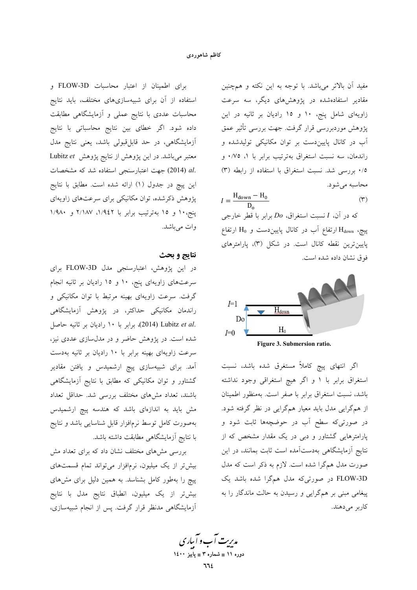### كاظم شاهوردى

مفید آن بالاتر میباشد. با توجه به این نکته و همچنین مقادیر استفادهشده در پژوهشهای دیگر، سه سرعت زاویهای شامل پنج، ۱۰ و ۱۵ رادیان بر ثانیه در این پژوهش موردبررسی قرار گرفت. جهت بررسی تأثیر عمق آب در کانال پاییندست بر توان مکانیکی تولیدشده و راندمان، سه نسبت استغراق بهترتيب برابر با ١، ٠/٧٥ و ۰/۵ بررسی شد. نسبت استغراق با استفاده از رابطه (۳) محاسبه مي شود.

$$
I = \frac{H_{\text{down}} - H_0}{D} \tag{7}
$$

که در آن، I نسبت استغراق، Do برابر با قطر خارجی بیچ،  $\rm H_{down}$ ارتفاع آب در کانال پاییندست و  $\rm H_{0}$  ارتفاع پایینترین نقطه کانال است. در شکل (۳)، پارامترهای فوق نشان داده شده است.



اگر انتهای پیچ کاملاً مستغرق شده باشد، نسبت استغراق برابر با ١ و اگر هيچ استغراقي وجود نداشته باشد، نسبت استغراق برابر با صفر است. بهمنظور اطمينان از همگرایی مدل باید معیار همگرایی در نظر گرفته شود. در صورتیکه سطح آب در حوضچهها ثابت شود و پارامترهایی گشتاور و دبی در یک مقدار مشخص که از نتایج آزمایشگاهی بهدستآمده است ثابت بمانند، در این صورت مدل همگرا شده است. لازم به ذکر است که مدل FLOW-3D در صورتیکه مدل همگرا شده باشد یک پیغامی مبنی بر همگرایی و رسیدن به حالت ماندگار را به كاربر مىدهند.

برای اطمینان از اعتبار محاسبات FLOW-3D و استفاده از آن برای شبیهسازیهای مختلف، باید نتایج محاسبات عددی با نتایج عملی و آزمایشگاهی مطابقت داده شود. اگر خطای بین نتایج محاسباتی با نتایج آزمایشگاهی، در حد قابلِ قبولی باشد، یعنی نتایج مدل معتبر میباشد. در این پژوهش از نتایج پژوهش Lubitz et .al (2014) جهت اعتبارسنجي استفاده شد كه مشخصات این پیچ در جدول (۱) ارائه شده است. مطابق با نتایج پژوهش ذکرشده، توان مکانیکی برای سرعتهای زاویهای پنج، ۱۰ و ۱۵ بهترتیب برابر با ۱/۹٤۲، ۲/۱۸۷ و ۱/۹۸۰ وات مي باشد.

## نتايج و بحث

در این پژوهش، اعتبارسنجی مدل FLOW-3D برای سرعتهای زاویهای پنج، ۱۰ و ۱۵ رادیان بر ثانیه انجام گرفت. سرعت زاویهای بهینه مرتبط با توان مکانیکی و راندمان مکانیکی حداکثر، در پژوهش آزمایشگاهی .Lubitz et al (2014) برابر با ١٠ راديان بر ثانيه حاصل شده است. در پژوهش حاضر و در مدلسازی عددی نیز، سرعت زاویهای بهینه برابر با ۱۰ رادیان بر ثانیه بهدست آمد. برای شبیهسازی پیچ ارشمیدس و یافتن مقادیر گشتاور و توان مکانیکی که مطابق با نتایج آزمایشگاهی باشند، تعداد مشهای مختلف بررسی شد. حداقل تعداد مش باید به اندازهای باشد که هندسه پیچ ارشمیدس بهصورت كامل توسط نرمافزار قابل شناسايي باشد ونتايج با نتايج آزمايشگاهي مطابقت داشته باشد.

بررسی مشهای مختلف نشان داد که برای تعداد مش بیش تر از یک میلیون، نرمافزار می تواند تمام قسمتهای پیچ را بهطور کامل بشناسد. به همین دلیل برای مشهای بیشتر از یک میلیون، انطباق نتایج مدل با نتایج آزمایشگاهی مدنظر قرار گرفت. پس از انجام شبیهسازی،

مدریت آب و آباری دوره ۱۱ ∎ شماره ۳ ∎ یاییز ۱٤۰۰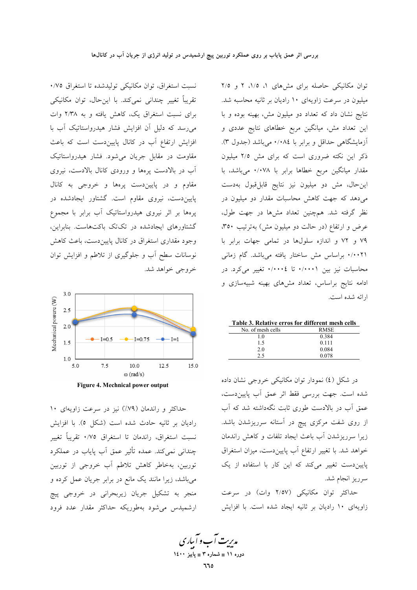نسبت استغراق، توان مكانيكي توليدشده تا استغراق ٧٥٪ تقریباً تغییر چندانی نمی کند. با این حال، توان مکانیکی برای نسبت استغراق یک، کاهش یافته و به ۲/۳۸ وات می رسد که دلیل آن افزایش فشار هیدرواستاتیک آب با افزایش ارتفاع آب در کانال پاییندست است که باعث مقاومت در مقابل جريان مي شود. فشار هيدرواستاتيك آب در بالادست پرهها و ورودی کانال بالادست، نیروی مقاوم و در پاییندست پرهها و خروجی به کانال پاییندست، نیروی مقاوم است. گشتاور ایجادشده در پرهها بر اثر نیروی هیدرواستاتیک آب برابر با مجموع گشتاورهای ایجادشده در تکتک باکتهاست. بنابراین، وجود مقداری استغراق در کانال پایین دست، باعث کاهش نوسانات سطح آب و جلوگیری از تلاطم و افزایش توان خروجي خواهد شد.



Figure 4. Mechnical power output

حداکثر و راندمان (۷۹٪) نیز در سرعت زاویهای ۱۰ راديان بر ثانيه حادث شده است (شكل ٥). با افزايش نسبت استغراق، راندمان تا استغراق ٠/٧٥ تقريباً تغيير چندانی نمیکند. عمده تأثیر عمق آب پایاب در عملکرد توربین، بهخاطر کاهش تلاطم آب خروجی از توربین می باشد، زیرا مانند یک مانع در برابر جریان عمل کرده و منجر به تشکیل جریان زیربحرانی در خروجی پیچ ارشمیدس می شود بهطوریکه حداکثر مقدار عدد فرود

توان مکانیکی حاصله برای مشهای ۱، ۱/۵، ۲ و ۲/۵ میلیون در سرعت زاویهای ۱۰ رادیان بر ثانیه محاسبه شد. نتایج نشان داد که تعداد دو میلیون مش، بهینه بوده و با این تعداد مش، میانگین مربع خطاهای نتایج عددی و آزمایشگاهی حداقل و برابر با ۰/۰۸٤ می باشد (جدول ۳). ذکر این نکته ضروری است که برای مش ۲/۵ میلیون مقدار میانگین مربع خطاها برابر با ۰/۰۷۸ میباشد، با این حال، مش دو میلیون نیز نتایج قابل قبول بهدست می دهد که جهت کاهش محاسبات مقدار دو میلیون در نظر گرفته شد. همچنین تعداد مشها در جهت طول، عرض و ارتفاع (در حالت دو میلیون مش) بهترتیب ۳۵۰، ۷۹ و ۷۲ و اندازه سلولها در تمامی جهات برابر با ۰/۰۰۲۱ براساس مش ساختار یافته میباشد. گام زمانی محاسبات نیز بین ۰/۰۰۰۱ تا ۰/۰۰۰٤ تغییر میکرد. در ادامه نتایج براساس، تعداد مشهای بهینه شبیهسازی و ارائه شده است.

|  | Table 3. Relative erros for different mesh cells |  |
|--|--------------------------------------------------|--|
|  |                                                  |  |

| No. of mesh cells | <b>RMSE</b> |
|-------------------|-------------|
| 1.0               | 0.384       |
| 1.5               | 0.111       |
| 2.0               | 0.084       |
| 2.5               | 0.078       |
|                   |             |

در شکل (٤) نمودار توان مکانیکی خروجی نشان داده شده است. جهت بررسی فقط اثر عمق آب پاییندست، عمق آب در بالادست طوری ثابت نگهداشته شد که آب از روی شفت مرکزی پیچ در آستانه سرریزشدن باشد. زیرا سرریزشدن آب باعث ایجاد تلفات و کاهش راندمان خواهد شد. با تغییر ارتفاع آب پاییندست، میزان استغراق پایین دست تغییر میکند که این کار با استفاده از یک سرريز انجام شد.

حداکثر توان مکانیکی (۲/٥۷ وات) در سرعت زاویهای ١٠ راديان بر ثانيه ايجاد شده است. با افزايش

مدریت آب و آباری دوره ۱۱ ∎ شماره ۳ ∎ یاییز ۱٤۰۰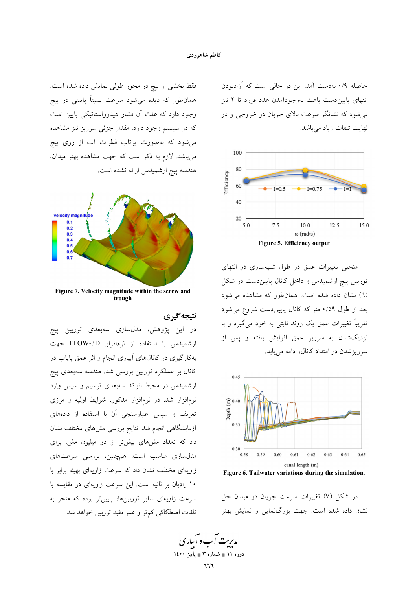حاصله ۰/۹ به دست آمد. این در حالی است که آزادبودن انتهای پاییندست باعث بهوجوداًمدن عدد فرود تا ۲ نیز میشود که نشانگر سرعت بالای جریان در خروجی و در نهایت تلفات زیاد میباشد.



منحنی تغییرات عمق در طول شبیهسازی در انتهای توربین پیچ ارشمیدس و داخل کانال پاییندست در شکل (٦) نشان داده شده است. همانطور که مشاهده می شود بعد از طول ۰/۵۹ متر که کانال پاییندست شروع می شود تقریباً تغییرات عمق یک روند ثابتی به خود میگیرد و با .<br>نزدیکشدن به سرریز عمق افزایش یافته و پس از سرریز شدن در امتداد کانال، ادامه می پابد.



Figure 6. Tailwater variations during the simulation.

در شکل (۷) تغییرات سرعت جریان در میدان حل نشان داده شده است. جهت بزرگنمایی و نمایش بهتر

فقط بخشی از پیچ در محور طولی نمایش داده شده است. همانطور که دیده میشود سرعت نسبتاً پایینی در پیچ وجود دارد که علت آن فشار هیدرواستاتیکی پایین است که در سیستم وجود دارد. مقدار جزئی سرریز نیز مشاهده می شود که بهصورت پرتاب قطرات آب از روی پیچ میباشد. لازم به ذکر است که جهت مشاهده بهتر میدان، هندسه پیچ ارشمیدس ارائه نشده است.



Figure 7. Velocity magnitude within the screw and trough

## نتيجه گيري

در این پژوهش، مدلسازی سهبعدی توربین پیچ ارشمیدس با استفاده از نرمافزار FLOW-3D جهت بهکارگیری در کانالهای آبیاری انجام و اثر عمق پایاب در کانال بر عملکرد توربین بررسی شد. هندسه سهبعدی پیچ ارشمیدس در محیط اتوکد سهبعدی ترسیم و سپس وارد نرمافزار شد. در نرمافزار مذکور، شرایط اولیه و مرزی تعریف و سپس اعتبارسنجی آن با استفاده از دادههای أزمايشگاهى انجام شد. نتايج بررسى مش۵اى مختلف نشان داد که تعداد مشهای بیشتر از دو میلیون مش، برای مدلسازی مناسب است. همچنین، بررسی سرعتهای زاویهای مختلف نشان داد که سرعت زاویهای بهینه برابر با ١٠ راديان بر ثانيه است. اين سرعت زاويهاى در مقايسه با سرعت زاویهای سایر توربینها، پایینتر بوده که منجر به تلفات اصطكاكي كم تر و عمر مفيد توربين خواهد شد.

م*دینت آ*ب و آباری دوره ۱۱ ∎ شماره ۳ ∎ یاییز ۱٤۰۰ ٦٦٦